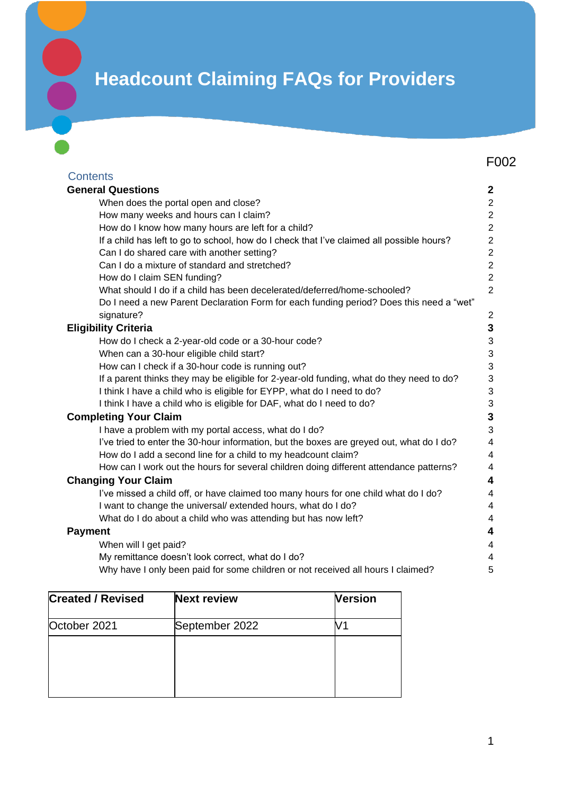# **Headcount Claiming FAQs for Providers**

|                             |                                                                                           | F <sub>0</sub> 02 |  |
|-----------------------------|-------------------------------------------------------------------------------------------|-------------------|--|
| <b>Contents</b>             |                                                                                           |                   |  |
|                             | <b>General Questions</b>                                                                  |                   |  |
|                             | When does the portal open and close?                                                      | $\overline{2}$    |  |
|                             | How many weeks and hours can I claim?                                                     | $\overline{c}$    |  |
|                             | How do I know how many hours are left for a child?                                        | $\overline{2}$    |  |
|                             | If a child has left to go to school, how do I check that I've claimed all possible hours? | $\overline{2}$    |  |
|                             | Can I do shared care with another setting?                                                | $\overline{2}$    |  |
|                             | Can I do a mixture of standard and stretched?                                             | $\overline{2}$    |  |
|                             | How do I claim SEN funding?                                                               | $\overline{2}$    |  |
|                             | What should I do if a child has been decelerated/deferred/home-schooled?                  | $\overline{2}$    |  |
|                             | Do I need a new Parent Declaration Form for each funding period? Does this need a "wet"   |                   |  |
|                             | signature?                                                                                | $\overline{2}$    |  |
| <b>Eligibility Criteria</b> |                                                                                           | 3                 |  |
|                             | How do I check a 2-year-old code or a 30-hour code?                                       | 3                 |  |
|                             | When can a 30-hour eligible child start?                                                  | 3                 |  |
|                             | How can I check if a 30-hour code is running out?                                         | 3                 |  |
|                             | If a parent thinks they may be eligible for 2-year-old funding, what do they need to do?  | 3                 |  |
|                             | I think I have a child who is eligible for EYPP, what do I need to do?                    | 3                 |  |
|                             | I think I have a child who is eligible for DAF, what do I need to do?                     | 3                 |  |
|                             | <b>Completing Your Claim</b>                                                              |                   |  |
|                             | I have a problem with my portal access, what do I do?                                     | 3<br>3            |  |
|                             | I've tried to enter the 30-hour information, but the boxes are greyed out, what do I do?  | 4                 |  |
|                             | How do I add a second line for a child to my headcount claim?                             | 4                 |  |
|                             | How can I work out the hours for several children doing different attendance patterns?    | 4                 |  |
|                             | <b>Changing Your Claim</b>                                                                | 4                 |  |
|                             | I've missed a child off, or have claimed too many hours for one child what do I do?       | 4                 |  |
|                             | I want to change the universal/extended hours, what do I do?                              | 4                 |  |
|                             | What do I do about a child who was attending but has now left?                            | 4                 |  |
| <b>Payment</b>              |                                                                                           | 4                 |  |
|                             | When will I get paid?                                                                     | 4                 |  |
|                             | My remittance doesn't look correct, what do I do?                                         | 4                 |  |
|                             | Why have I only been paid for some children or not received all hours I claimed?          | 5                 |  |

| <b>Created / Revised</b> | <b>Next review</b> | <b>Version</b> |
|--------------------------|--------------------|----------------|
| October 2021             | September 2022     |                |
|                          |                    |                |
|                          |                    |                |
|                          |                    |                |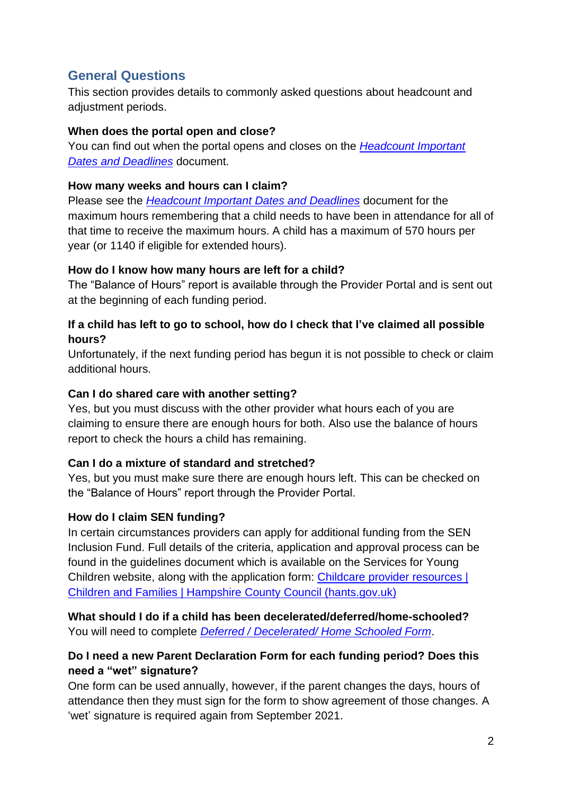# <span id="page-1-0"></span>**General Questions**

This section provides details to commonly asked questions about headcount and adjustment periods.

#### <span id="page-1-1"></span>**When does the portal open and close?**

You can find out when the portal opens and closes on the *[Headcount Important](https://documents.hants.gov.uk/childrens-services/headcountdatesanddeadlines.docx)  [Dates and Deadlines](https://documents.hants.gov.uk/childrens-services/headcountdatesanddeadlines.docx)* document.

#### <span id="page-1-2"></span>**How many weeks and hours can I claim?**

Please see the *[Headcount Important Dates and Deadlines](https://documents.hants.gov.uk/childrens-services/headcountdatesanddeadlines.docx)* document for the maximum hours remembering that a child needs to have been in attendance for all of that time to receive the maximum hours. A child has a maximum of 570 hours per year (or 1140 if eligible for extended hours).

#### <span id="page-1-3"></span>**How do I know how many hours are left for a child?**

The "Balance of Hours" report is available through the Provider Portal and is sent out at the beginning of each funding period.

#### <span id="page-1-4"></span>**If a child has left to go to school, how do I check that I've claimed all possible hours?**

Unfortunately, if the next funding period has begun it is not possible to check or claim additional hours.

# <span id="page-1-5"></span>**Can I do shared care with another setting?**

Yes, but you must discuss with the other provider what hours each of you are claiming to ensure there are enough hours for both. Also use the balance of hours report to check the hours a child has remaining.

# <span id="page-1-6"></span>**Can I do a mixture of standard and stretched?**

Yes, but you must make sure there are enough hours left. This can be checked on the "Balance of Hours" report through the Provider Portal.

# <span id="page-1-7"></span>**How do I claim SEN funding?**

In certain circumstances providers can apply for additional funding from the SEN Inclusion Fund. Full details of the criteria, application and approval process can be found in the guidelines document which is available on the Services for Young Children website, along with the application form: [Childcare provider resources |](https://www.hants.gov.uk/socialcareandhealth/childrenandfamilies/childcare/providers/resources-filter?filter=.Inclusion.SEN-funding)  [Children and Families | Hampshire](https://www.hants.gov.uk/socialcareandhealth/childrenandfamilies/childcare/providers/resources-filter?filter=.Inclusion.SEN-funding) County Council (hants.gov.uk)

<span id="page-1-8"></span>**What should I do if a child has been decelerated/deferred/home-schooled?** You will need to complete *[Deferred / Decelerated/ Home Schooled Form](http://documents.hants.gov.uk/childrens-services/EYEDeferredForm.docx)*.

# <span id="page-1-9"></span>**Do I need a new Parent Declaration Form for each funding period? Does this need a "wet" signature?**

One form can be used annually, however, if the parent changes the days, hours of attendance then they must sign for the form to show agreement of those changes. A 'wet' signature is required again from September 2021.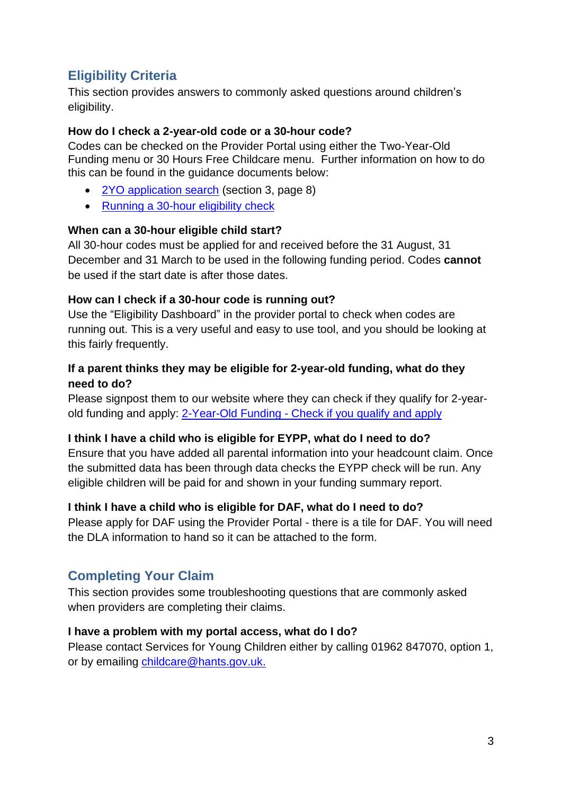# <span id="page-2-0"></span>**Eligibility Criteria**

This section provides answers to commonly asked questions around children's eligibility.

#### <span id="page-2-1"></span>**How do I check a 2-year-old code or a 30-hour code?**

Codes can be checked on the Provider Portal using either the Two-Year-Old Funding menu or 30 Hours Free Childcare menu. Further information on how to do this can be found in the guidance documents below:

- [2YO application search](https://documents.hants.gov.uk/childrens-services/CapitaOne-TYOFguidanceforProvidersv2.pdf) (section 3, page 8)
- [Running a 30-hour eligibility check](http://documents.hants.gov.uk/childrens-services/30hours-check-process.docx)

#### <span id="page-2-2"></span>**When can a 30-hour eligible child start?**

All 30-hour codes must be applied for and received before the 31 August, 31 December and 31 March to be used in the following funding period. Codes **cannot** be used if the start date is after those dates.

#### <span id="page-2-3"></span>**How can I check if a 30-hour code is running out?**

Use the "Eligibility Dashboard" in the provider portal to check when codes are running out. This is a very useful and easy to use tool, and you should be looking at this fairly frequently.

#### <span id="page-2-4"></span>**If a parent thinks they may be eligible for 2-year-old funding, what do they need to do?**

Please signpost them to our website where they can check if they qualify for 2-yearold funding and apply: 2-Year-Old Funding - [Check if you qualify and apply](https://www.hants.gov.uk/socialcareandhealth/childrenandfamilies/childcare/payingforchildcare/freechildcare/2yearoldoffer#step-6)

# <span id="page-2-5"></span>**I think I have a child who is eligible for EYPP, what do I need to do?**

Ensure that you have added all parental information into your headcount claim. Once the submitted data has been through data checks the EYPP check will be run. Any eligible children will be paid for and shown in your funding summary report.

# <span id="page-2-6"></span>**I think I have a child who is eligible for DAF, what do I need to do?**

Please apply for DAF using the Provider Portal - there is a tile for DAF. You will need the DLA information to hand so it can be attached to the form.

# <span id="page-2-7"></span>**Completing Your Claim**

This section provides some troubleshooting questions that are commonly asked when providers are completing their claims.

#### <span id="page-2-8"></span>**I have a problem with my portal access, what do I do?**

Please contact Services for Young Children either by calling 01962 847070, option 1, or by emailing [childcare@hants.gov.uk.](mailto:childcare@hants.gov.uk)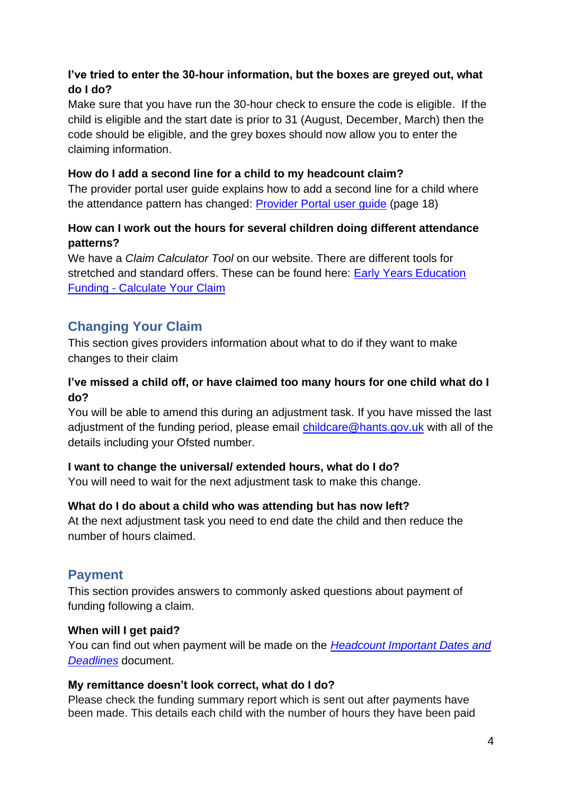# <span id="page-3-0"></span>**I've tried to enter the 30-hour information, but the boxes are greyed out, what do I do?**

Make sure that you have run the 30-hour check to ensure the code is eligible. If the child is eligible and the start date is prior to 31 (August, December, March) then the code should be eligible, and the grey boxes should now allow you to enter the claiming information.

# <span id="page-3-1"></span>**How do I add a second line for a child to my headcount claim?**

The provider portal user guide explains how to add a second line for a child where the attendance pattern has changed: [Provider Portal user guide](https://documents.hants.gov.uk/childrens-services/CapitaOne-ProviderUserGuide.pdf) (page 18)

#### <span id="page-3-2"></span>**How can I work out the hours for several children doing different attendance patterns?**

We have a *Claim Calculator Tool* on our website. There are different tools for stretched and standard offers. These can be found here: **Early Years Education** Funding - [Calculate Your Claim](https://www.hants.gov.uk/socialcareandhealth/childrenandfamilies/childcare/providers/eye-eynff/eye-funding#step-calculate)

# <span id="page-3-3"></span>**Changing Your Claim**

This section gives providers information about what to do if they want to make changes to their claim

# <span id="page-3-4"></span>**I've missed a child off, or have claimed too many hours for one child what do I do?**

You will be able to amend this during an adjustment task. If you have missed the last adjustment of the funding period, please email [childcare@hants.gov.uk](mailto:childcare@hants.gov.uk) with all of the details including your Ofsted number.

# <span id="page-3-5"></span>**I want to change the universal/ extended hours, what do I do?**

You will need to wait for the next adjustment task to make this change.

# <span id="page-3-6"></span>**What do I do about a child who was attending but has now left?**

At the next adjustment task you need to end date the child and then reduce the number of hours claimed.

# <span id="page-3-7"></span>**Payment**

This section provides answers to commonly asked questions about payment of funding following a claim.

# <span id="page-3-8"></span>**When will I get paid?**

You can find out when payment will be made on the *[Headcount Important Dates and](https://documents.hants.gov.uk/childrens-services/headcountdatesanddeadlines.docx)  [Deadlines](https://documents.hants.gov.uk/childrens-services/headcountdatesanddeadlines.docx)* document.

# <span id="page-3-9"></span>**My remittance doesn't look correct, what do I do?**

Please check the funding summary report which is sent out after payments have been made. This details each child with the number of hours they have been paid